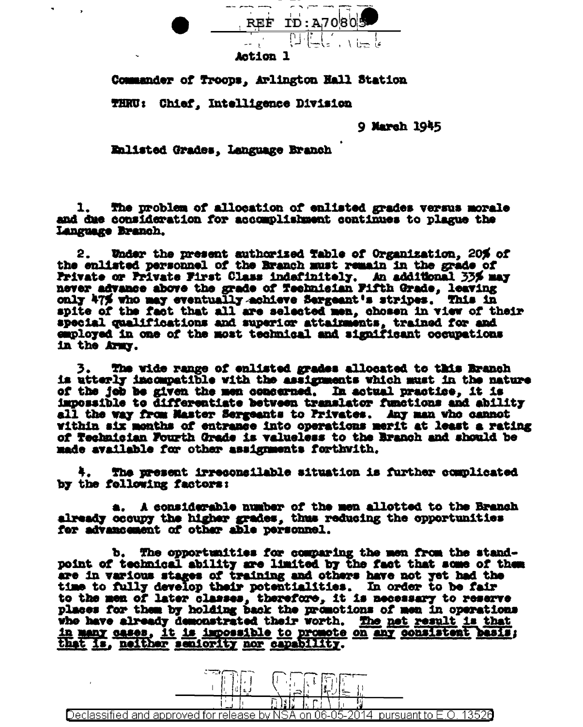

Action 1

Commander of Troops, Arlington Hall Station

THRU: Chief, Intelligence Division

9 March 1945

Enlisted Grades, Language Branch

1. The problem of allocation of enlisted grades versus morale and due consideration for accomplishment continues to plague the Language Branch.

Under the present authorized Table of Organization, 20% of 2. the enlisted personnel of the Branch must remain in the grade of Private or Private First Class indefinitely. An additional 33% may never advance above the grade of Technisian Fifth Grade, leaving only 47% who may eventually achieve Sargeant's stripes. This in spite of the fact that all are selected men, chosen in view of their special qualifications and superior attainments, trained for and employed in one of the most technical and significant occupations in the Army.

3. The wide range of enlisted grades allocated to this Branch is utterly incompatible with the assignments which must in the nature of the job be given the men concerned. In actual practice, it is impossible to differentiate between translator functions and ability all the way from Master Sergeants to Privates. Any man who cannot within six months of entrance into operations merit at least a rating of Technician Fourth Grade is valueless to the Branch and should be made available for other assignments forthwith.

The present irreconsilable situation is further complicated by the following factors:

a. A considerable number of the men allotted to the Branch already occupy the higher grades, thus reducing the opportunities for advancement of other able personnel.

b. The opportunities for comparing the men from the standpoint of technical ability are limited by the fact that some of them are in various stages of training and others have not yet had the time to fully develop their potentialities. In order to be fair to the men of later classes, therefore, it is necessary to reserve places for them by holding back the promotions of men in operations who have already demonstrated their worth. The net result is that in many cases, it is impossible to promote on any consistent basis; that is, neither seniority nor capability.